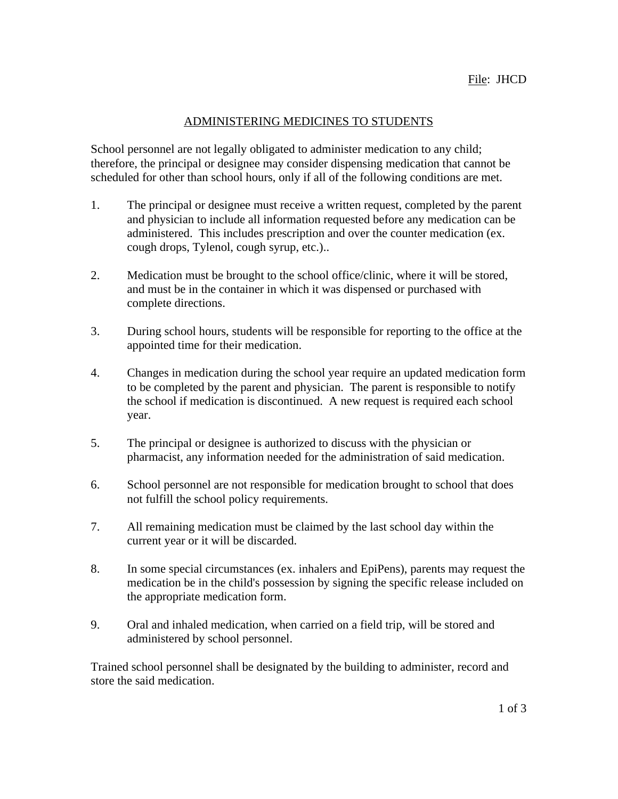### ADMINISTERING MEDICINES TO STUDENTS

School personnel are not legally obligated to administer medication to any child; therefore, the principal or designee may consider dispensing medication that cannot be scheduled for other than school hours, only if all of the following conditions are met.

- 1. The principal or designee must receive a written request, completed by the parent and physician to include all information requested before any medication can be administered. This includes prescription and over the counter medication (ex. cough drops, Tylenol, cough syrup, etc.)..
- 2. Medication must be brought to the school office/clinic, where it will be stored, and must be in the container in which it was dispensed or purchased with complete directions.
- 3. During school hours, students will be responsible for reporting to the office at the appointed time for their medication.
- 4. Changes in medication during the school year require an updated medication form to be completed by the parent and physician. The parent is responsible to notify the school if medication is discontinued. A new request is required each school year.
- 5. The principal or designee is authorized to discuss with the physician or pharmacist, any information needed for the administration of said medication.
- 6. School personnel are not responsible for medication brought to school that does not fulfill the school policy requirements.
- 7. All remaining medication must be claimed by the last school day within the current year or it will be discarded.
- 8. In some special circumstances (ex. inhalers and EpiPens), parents may request the medication be in the child's possession by signing the specific release included on the appropriate medication form.
- 9. Oral and inhaled medication, when carried on a field trip, will be stored and administered by school personnel.

Trained school personnel shall be designated by the building to administer, record and store the said medication.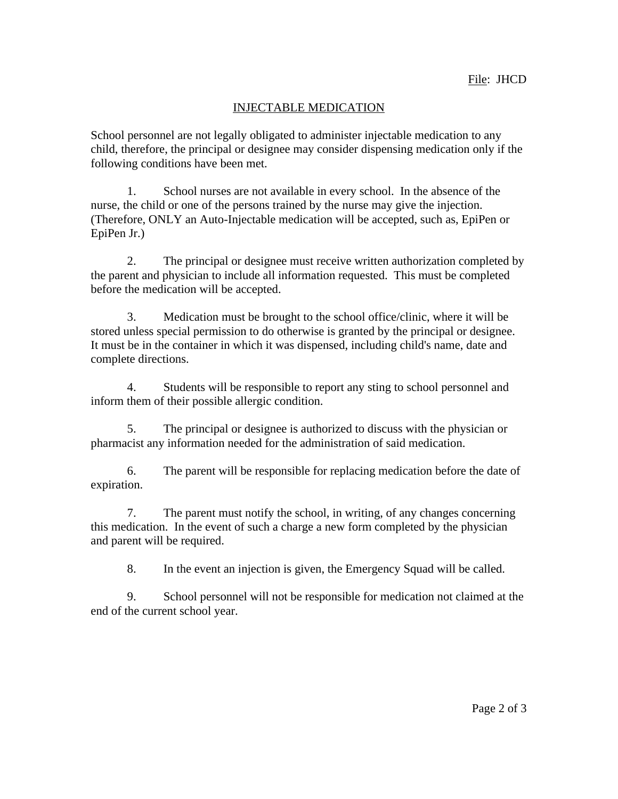## INJECTABLE MEDICATION

School personnel are not legally obligated to administer injectable medication to any child, therefore, the principal or designee may consider dispensing medication only if the following conditions have been met.

1. School nurses are not available in every school. In the absence of the nurse, the child or one of the persons trained by the nurse may give the injection. (Therefore, ONLY an Auto-Injectable medication will be accepted, such as, EpiPen or EpiPen Jr.)

2. The principal or designee must receive written authorization completed by the parent and physician to include all information requested. This must be completed before the medication will be accepted.

3. Medication must be brought to the school office/clinic, where it will be stored unless special permission to do otherwise is granted by the principal or designee. It must be in the container in which it was dispensed, including child's name, date and complete directions.

4. Students will be responsible to report any sting to school personnel and inform them of their possible allergic condition.

5. The principal or designee is authorized to discuss with the physician or pharmacist any information needed for the administration of said medication.

6. The parent will be responsible for replacing medication before the date of expiration.

7. The parent must notify the school, in writing, of any changes concerning this medication. In the event of such a charge a new form completed by the physician and parent will be required.

8. In the event an injection is given, the Emergency Squad will be called.

9. School personnel will not be responsible for medication not claimed at the end of the current school year.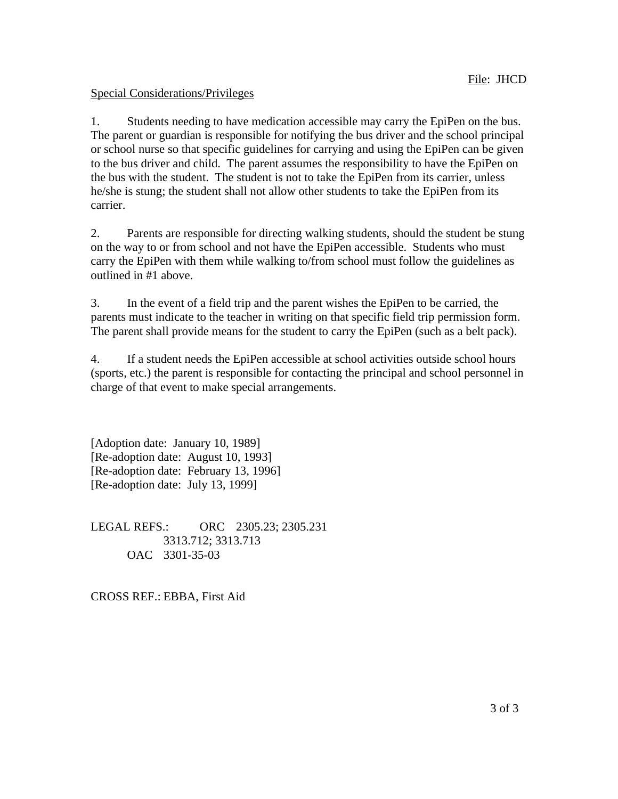# Special Considerations/Privileges

1. Students needing to have medication accessible may carry the EpiPen on the bus. The parent or guardian is responsible for notifying the bus driver and the school principal or school nurse so that specific guidelines for carrying and using the EpiPen can be given to the bus driver and child. The parent assumes the responsibility to have the EpiPen on the bus with the student. The student is not to take the EpiPen from its carrier, unless he/she is stung; the student shall not allow other students to take the EpiPen from its carrier.

2. Parents are responsible for directing walking students, should the student be stung on the way to or from school and not have the EpiPen accessible. Students who must carry the EpiPen with them while walking to/from school must follow the guidelines as outlined in #1 above.

3. In the event of a field trip and the parent wishes the EpiPen to be carried, the parents must indicate to the teacher in writing on that specific field trip permission form. The parent shall provide means for the student to carry the EpiPen (such as a belt pack).

4. If a student needs the EpiPen accessible at school activities outside school hours (sports, etc.) the parent is responsible for contacting the principal and school personnel in charge of that event to make special arrangements.

[Adoption date: January 10, 1989] [Re-adoption date: August 10, 1993] [Re-adoption date: February 13, 1996] [Re-adoption date: July 13, 1999]

LEGAL REFS.: ORC 2305.23; 2305.231 3313.712; 3313.713 OAC 3301-35-03

CROSS REF.: EBBA, First Aid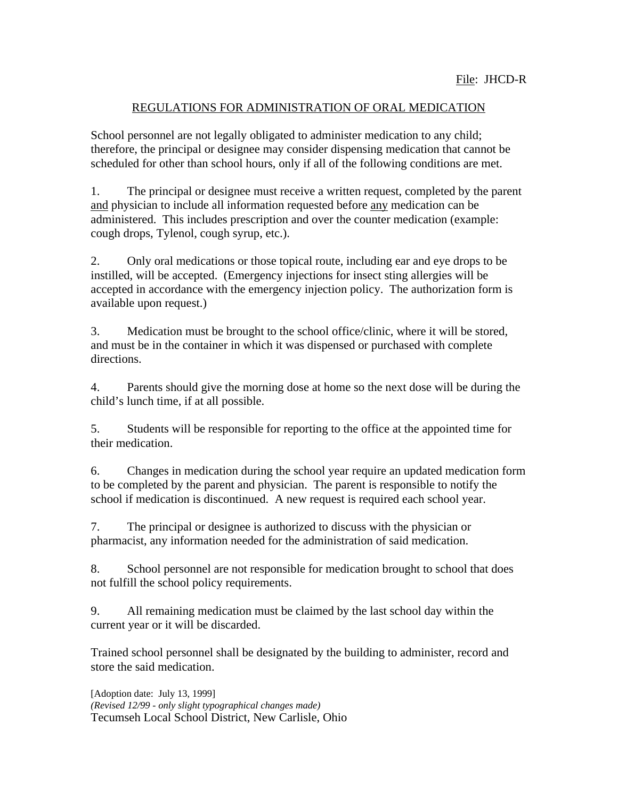### REGULATIONS FOR ADMINISTRATION OF ORAL MEDICATION

School personnel are not legally obligated to administer medication to any child; therefore, the principal or designee may consider dispensing medication that cannot be scheduled for other than school hours, only if all of the following conditions are met.

1. The principal or designee must receive a written request, completed by the parent and physician to include all information requested before any medication can be administered. This includes prescription and over the counter medication (example: cough drops, Tylenol, cough syrup, etc.).

2. Only oral medications or those topical route, including ear and eye drops to be instilled, will be accepted. (Emergency injections for insect sting allergies will be accepted in accordance with the emergency injection policy. The authorization form is available upon request.)

3. Medication must be brought to the school office/clinic, where it will be stored, and must be in the container in which it was dispensed or purchased with complete directions.

4. Parents should give the morning dose at home so the next dose will be during the child's lunch time, if at all possible.

5. Students will be responsible for reporting to the office at the appointed time for their medication.

6. Changes in medication during the school year require an updated medication form to be completed by the parent and physician. The parent is responsible to notify the school if medication is discontinued. A new request is required each school year.

7. The principal or designee is authorized to discuss with the physician or pharmacist, any information needed for the administration of said medication.

8. School personnel are not responsible for medication brought to school that does not fulfill the school policy requirements.

9. All remaining medication must be claimed by the last school day within the current year or it will be discarded.

Trained school personnel shall be designated by the building to administer, record and store the said medication.

[Adoption date: July 13, 1999] *(Revised 12/99 - only slight typographical changes made)* Tecumseh Local School District, New Carlisle, Ohio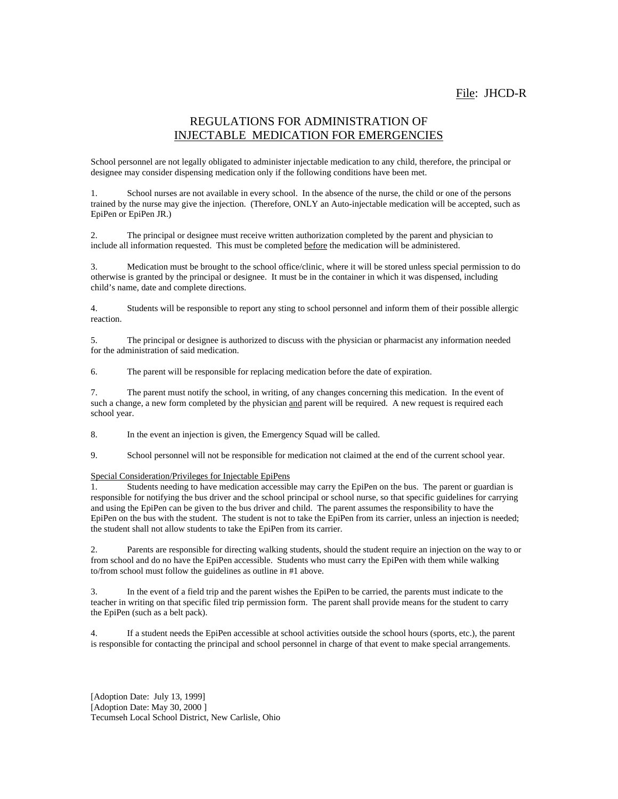#### REGULATIONS FOR ADMINISTRATION OF INJECTABLE MEDICATION FOR EMERGENCIES

School personnel are not legally obligated to administer injectable medication to any child, therefore, the principal or designee may consider dispensing medication only if the following conditions have been met.

1. School nurses are not available in every school. In the absence of the nurse, the child or one of the persons trained by the nurse may give the injection. (Therefore, ONLY an Auto-injectable medication will be accepted, such as EpiPen or EpiPen JR.)

2. The principal or designee must receive written authorization completed by the parent and physician to include all information requested. This must be completed before the medication will be administered.

3. Medication must be brought to the school office/clinic, where it will be stored unless special permission to do otherwise is granted by the principal or designee. It must be in the container in which it was dispensed, including child's name, date and complete directions.

4. Students will be responsible to report any sting to school personnel and inform them of their possible allergic reaction.

5. The principal or designee is authorized to discuss with the physician or pharmacist any information needed for the administration of said medication.

6. The parent will be responsible for replacing medication before the date of expiration.

7. The parent must notify the school, in writing, of any changes concerning this medication. In the event of such a change, a new form completed by the physician and parent will be required. A new request is required each school year.

8. In the event an injection is given, the Emergency Squad will be called.

9. School personnel will not be responsible for medication not claimed at the end of the current school year.

#### Special Consideration/Privileges for Injectable EpiPens

1. Students needing to have medication accessible may carry the EpiPen on the bus. The parent or guardian is responsible for notifying the bus driver and the school principal or school nurse, so that specific guidelines for carrying and using the EpiPen can be given to the bus driver and child. The parent assumes the responsibility to have the EpiPen on the bus with the student. The student is not to take the EpiPen from its carrier, unless an injection is needed; the student shall not allow students to take the EpiPen from its carrier.

2. Parents are responsible for directing walking students, should the student require an injection on the way to or from school and do no have the EpiPen accessible. Students who must carry the EpiPen with them while walking to/from school must follow the guidelines as outline in #1 above.

3. In the event of a field trip and the parent wishes the EpiPen to be carried, the parents must indicate to the teacher in writing on that specific filed trip permission form. The parent shall provide means for the student to carry the EpiPen (such as a belt pack).

4. If a student needs the EpiPen accessible at school activities outside the school hours (sports, etc.), the parent is responsible for contacting the principal and school personnel in charge of that event to make special arrangements.

[Adoption Date: July 13, 1999] [Adoption Date: May 30, 2000] Tecumseh Local School District, New Carlisle, Ohio